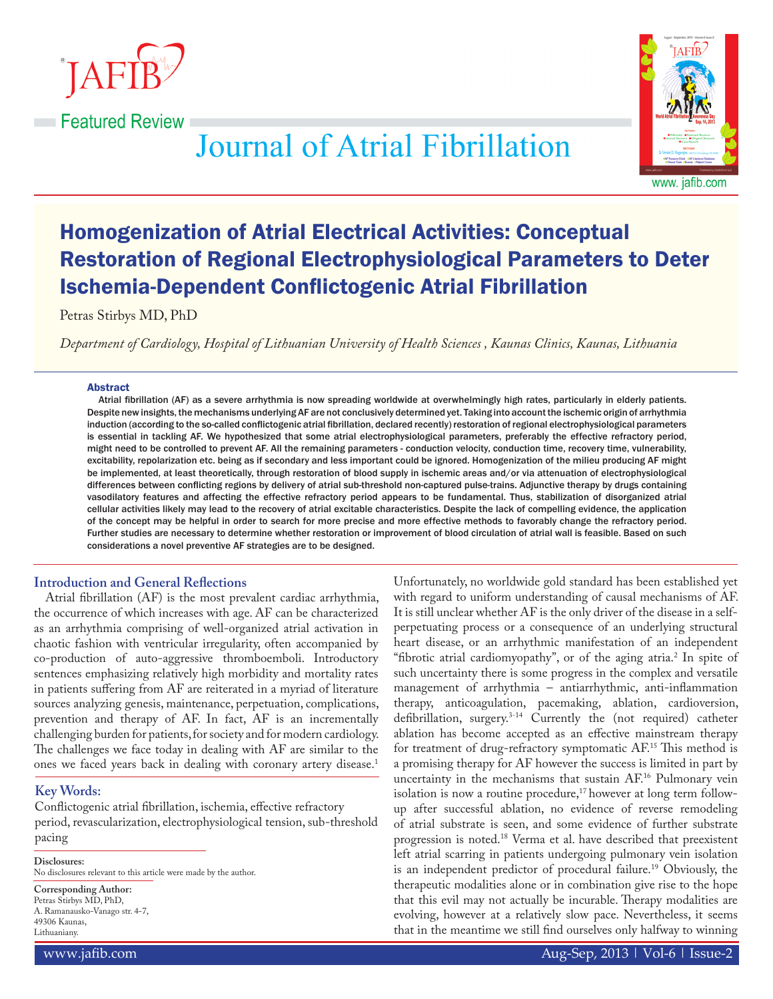

**Executed Review** 



**Journal of Atrial Fibrillation** 

# Homogenization of Atrial Electrical Activities: Conceptual Restoration of Regional Electrophysiological Parameters to Deter Ischemia-Dependent Conflictogenic Atrial Fibrillation

Petras Stirbys MD, PhD

*Department of Cardiology, Hospital of Lithuanian University of Health Sciences , Kaunas Clinics, Kaunas, Lithuania*

## Abstract

Atrial fibrillation (AF) as a severe arrhythmia is now spreading worldwide at overwhelmingly high rates, particularly in elderly patients. Despite new insights, the mechanisms underlying AF are not conclusively determined yet. Taking into account the ischemic origin of arrhythmia induction (according to the so-called conflictogenic atrial fibrillation, declared recently) restoration of regional electrophysiological parameters is essential in tackling AF. We hypothesized that some atrial electrophysiological parameters, preferably the effective refractory period, might need to be controlled to prevent AF. All the remaining parameters - conduction velocity, conduction time, recovery time, vulnerability, excitability, repolarization etc. being as if secondary and less important could be ignored. Homogenization of the milieu producing AF might be implemented, at least theoretically, through restoration of blood supply in ischemic areas and/or via attenuation of electrophysiological differences between conflicting regions by delivery of atrial sub-threshold non-captured pulse-trains. Adjunctive therapy by drugs containing vasodilatory features and affecting the effective refractory period appears to be fundamental. Thus, stabilization of disorganized atrial cellular activities likely may lead to the recovery of atrial excitable characteristics. Despite the lack of compelling evidence, the application of the concept may be helpful in order to search for more precise and more effective methods to favorably change the refractory period. Further studies are necessary to determine whether restoration or improvement of blood circulation of atrial wall is feasible. Based on such considerations a novel preventive AF strategies are to be designed.

## **Introduction and General Reflections**

Atrial fibrillation (AF) is the most prevalent cardiac arrhythmia, the occurrence of which increases with age. AF can be characterized as an arrhythmia comprising of well-organized atrial activation in chaotic fashion with ventricular irregularity, often accompanied by co-production of auto-aggressive thromboemboli. Introductory sentences emphasizing relatively high morbidity and mortality rates in patients suffering from AF are reiterated in a myriad of literature sources analyzing genesis, maintenance, perpetuation, complications, prevention and therapy of AF. In fact, AF is an incrementally challenging burden for patients, for society and for modern cardiology. The challenges we face today in dealing with AF are similar to the ones we faced years back in dealing with coronary artery disease.1

# **Key Words:**

Conflictogenic atrial fibrillation, ischemia, effective refractory period, revascularization, electrophysiological tension, sub-threshold pacing

**Disclosures:**

No disclosures relevant to this article were made by the author.

**Corresponding Author:**

Petras Stirbys MD, PhD, A. Ramanausko-Vanago str. 4-7, 49306 Kaunas, Lithuaniany.

Unfortunately, no worldwide gold standard has been established yet with regard to uniform understanding of causal mechanisms of AF. It is still unclear whether AF is the only driver of the disease in a selfperpetuating process or a consequence of an underlying structural heart disease, or an arrhythmic manifestation of an independent "fibrotic atrial cardiomyopathy", or of the aging atria.2 In spite of such uncertainty there is some progress in the complex and versatile management of arrhythmia – antiarrhythmic, anti-inflammation therapy, anticoagulation, pacemaking, ablation, cardioversion, defibrillation, surgery. $3-14$  Currently the (not required) catheter ablation has become accepted as an effective mainstream therapy for treatment of drug-refractory symptomatic AF.15 This method is a promising therapy for AF however the success is limited in part by uncertainty in the mechanisms that sustain AF.16 Pulmonary vein isolation is now a routine procedure,<sup>17</sup> however at long term followup after successful ablation, no evidence of reverse remodeling of atrial substrate is seen, and some evidence of further substrate progression is noted.18 Verma et al. have described that preexistent left atrial scarring in patients undergoing pulmonary vein isolation is an independent predictor of procedural failure.<sup>19</sup> Obviously, the therapeutic modalities alone or in combination give rise to the hope that this evil may not actually be incurable. Therapy modalities are evolving, however at a relatively slow pace. Nevertheless, it seems that in the meantime we still find ourselves only halfway to winning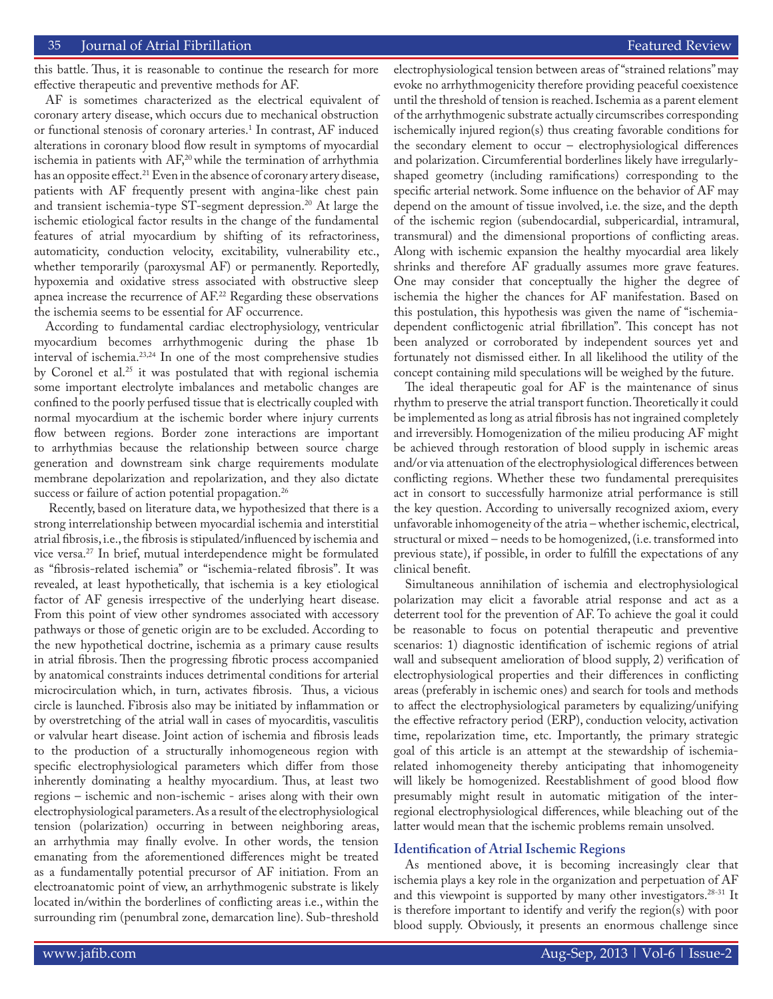this battle. Thus, it is reasonable to continue the research for more effective therapeutic and preventive methods for AF.

AF is sometimes characterized as the electrical equivalent of coronary artery disease, which occurs due to mechanical obstruction or functional stenosis of coronary arteries.<sup>1</sup> In contrast, AF induced alterations in coronary blood flow result in symptoms of myocardial ischemia in patients with AF,<sup>20</sup> while the termination of arrhythmia has an opposite effect.<sup>21</sup> Even in the absence of coronary artery disease, patients with AF frequently present with angina-like chest pain and transient ischemia-type ST-segment depression.<sup>20</sup> At large the ischemic etiological factor results in the change of the fundamental features of atrial myocardium by shifting of its refractoriness, automaticity, conduction velocity, excitability, vulnerability etc., whether temporarily (paroxysmal AF) or permanently. Reportedly, hypoxemia and oxidative stress associated with obstructive sleep apnea increase the recurrence of AF.<sup>22</sup> Regarding these observations the ischemia seems to be essential for AF occurrence.

According to fundamental cardiac electrophysiology, ventricular myocardium becomes arrhythmogenic during the phase 1b interval of ischemia.23,24 In one of the most comprehensive studies by Coronel et al.<sup>25</sup> it was postulated that with regional ischemia some important electrolyte imbalances and metabolic changes are confined to the poorly perfused tissue that is electrically coupled with normal myocardium at the ischemic border where injury currents flow between regions. Border zone interactions are important to arrhythmias because the relationship between source charge generation and downstream sink charge requirements modulate membrane depolarization and repolarization, and they also dictate success or failure of action potential propagation.<sup>26</sup>

 Recently, based on literature data, we hypothesized that there is a strong interrelationship between myocardial ischemia and interstitial atrial fibrosis, i.e., the fibrosis is stipulated/influenced by ischemia and vice versa.27 In brief, mutual interdependence might be formulated as "fibrosis-related ischemia" or "ischemia-related fibrosis". It was revealed, at least hypothetically, that ischemia is a key etiological factor of AF genesis irrespective of the underlying heart disease. From this point of view other syndromes associated with accessory pathways or those of genetic origin are to be excluded. According to the new hypothetical doctrine, ischemia as a primary cause results in atrial fibrosis. Then the progressing fibrotic process accompanied by anatomical constraints induces detrimental conditions for arterial microcirculation which, in turn, activates fibrosis. Thus, a vicious circle is launched. Fibrosis also may be initiated by inflammation or by overstretching of the atrial wall in cases of myocarditis, vasculitis or valvular heart disease. Joint action of ischemia and fibrosis leads to the production of a structurally inhomogeneous region with specific electrophysiological parameters which differ from those inherently dominating a healthy myocardium. Thus, at least two regions – ischemic and non-ischemic - arises along with their own electrophysiological parameters. As a result of the electrophysiological tension (polarization) occurring in between neighboring areas, an arrhythmia may finally evolve. In other words, the tension emanating from the aforementioned differences might be treated as a fundamentally potential precursor of AF initiation. From an electroanatomic point of view, an arrhythmogenic substrate is likely located in/within the borderlines of conflicting areas i.e., within the surrounding rim (penumbral zone, demarcation line). Sub-threshold

electrophysiological tension between areas of "strained relations" may evoke no arrhythmogenicity therefore providing peaceful coexistence until the threshold of tension is reached. Ischemia as a parent element of the arrhythmogenic substrate actually circumscribes corresponding ischemically injured region(s) thus creating favorable conditions for the secondary element to occur – electrophysiological differences and polarization. Circumferential borderlines likely have irregularlyshaped geometry (including ramifications) corresponding to the specific arterial network. Some influence on the behavior of AF may depend on the amount of tissue involved, i.e. the size, and the depth of the ischemic region (subendocardial, subpericardial, intramural, transmural) and the dimensional proportions of conflicting areas. Along with ischemic expansion the healthy myocardial area likely shrinks and therefore AF gradually assumes more grave features. One may consider that conceptually the higher the degree of ischemia the higher the chances for AF manifestation. Based on this postulation, this hypothesis was given the name of "ischemiadependent conflictogenic atrial fibrillation". This concept has not been analyzed or corroborated by independent sources yet and fortunately not dismissed either. In all likelihood the utility of the concept containing mild speculations will be weighed by the future.

The ideal therapeutic goal for AF is the maintenance of sinus rhythm to preserve the atrial transport function. Theoretically it could be implemented as long as atrial fibrosis has not ingrained completely and irreversibly. Homogenization of the milieu producing AF might be achieved through restoration of blood supply in ischemic areas and/or via attenuation of the electrophysiological differences between conflicting regions. Whether these two fundamental prerequisites act in consort to successfully harmonize atrial performance is still the key question. According to universally recognized axiom, every unfavorable inhomogeneity of the atria – whether ischemic, electrical, structural or mixed – needs to be homogenized, (i.e. transformed into previous state), if possible, in order to fulfill the expectations of any clinical benefit.

Simultaneous annihilation of ischemia and electrophysiological polarization may elicit a favorable atrial response and act as a deterrent tool for the prevention of AF. To achieve the goal it could be reasonable to focus on potential therapeutic and preventive scenarios: 1) diagnostic identification of ischemic regions of atrial wall and subsequent amelioration of blood supply, 2) verification of electrophysiological properties and their differences in conflicting areas (preferably in ischemic ones) and search for tools and methods to affect the electrophysiological parameters by equalizing/unifying the effective refractory period (ERP), conduction velocity, activation time, repolarization time, etc. Importantly, the primary strategic goal of this article is an attempt at the stewardship of ischemiarelated inhomogeneity thereby anticipating that inhomogeneity will likely be homogenized. Reestablishment of good blood flow presumably might result in automatic mitigation of the interregional electrophysiological differences, while bleaching out of the latter would mean that the ischemic problems remain unsolved.

## **Identification of Atrial Ischemic Regions**

As mentioned above, it is becoming increasingly clear that ischemia plays a key role in the organization and perpetuation of AF and this viewpoint is supported by many other investigators. $28-31$  It is therefore important to identify and verify the region(s) with poor blood supply. Obviously, it presents an enormous challenge since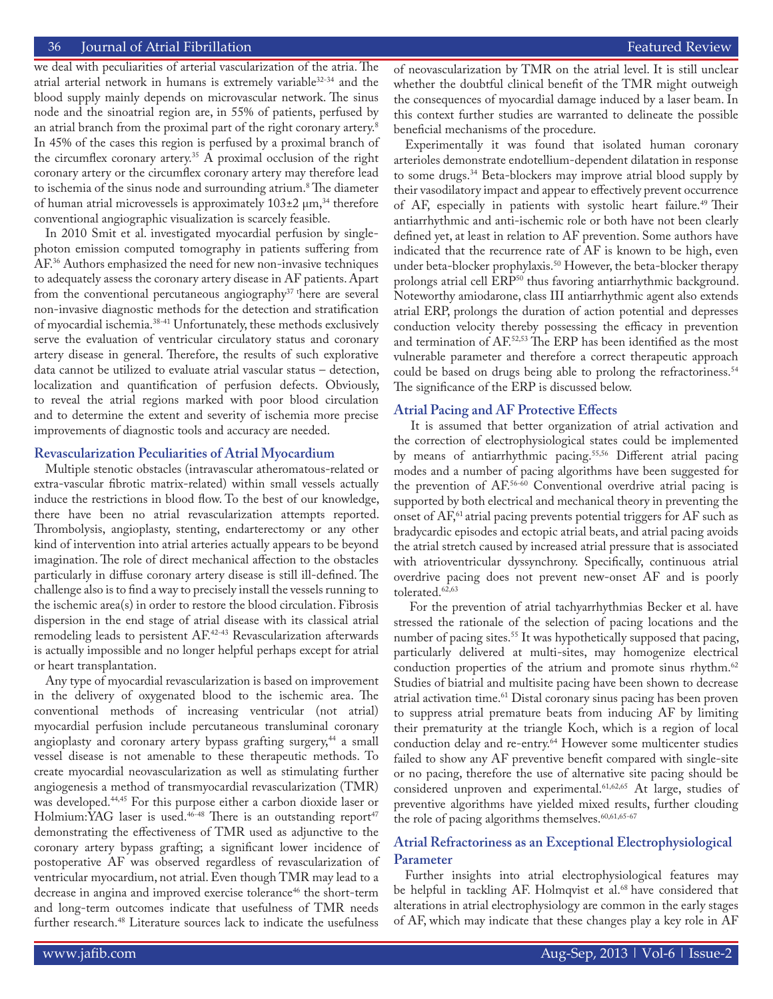we deal with peculiarities of arterial vascularization of the atria. The atrial arterial network in humans is extremely variable32-34 and the blood supply mainly depends on microvascular network. The sinus node and the sinoatrial region are, in 55% of patients, perfused by an atrial branch from the proximal part of the right coronary artery.8 In 45% of the cases this region is perfused by a proximal branch of the circumflex coronary artery.35 A proximal occlusion of the right coronary artery or the circumflex coronary artery may therefore lead to ischemia of the sinus node and surrounding atrium.<sup>8</sup> The diameter of human atrial microvessels is approximately  $103\pm2\ \mu m$ ,<sup>34</sup> therefore conventional angiographic visualization is scarcely feasible.

In 2010 Smit et al. investigated myocardial perfusion by singlephoton emission computed tomography in patients suffering from AF.36 Authors emphasized the need for new non-invasive techniques to adequately assess the coronary artery disease in AF patients. Apart from the conventional percutaneous angiography $37$  there are several non-invasive diagnostic methods for the detection and stratification of myocardial ischemia.38-41 Unfortunately, these methods exclusively serve the evaluation of ventricular circulatory status and coronary artery disease in general. Therefore, the results of such explorative data cannot be utilized to evaluate atrial vascular status – detection, localization and quantification of perfusion defects. Obviously, to reveal the atrial regions marked with poor blood circulation and to determine the extent and severity of ischemia more precise improvements of diagnostic tools and accuracy are needed.

#### **Revascularization Peculiarities of Atrial Myocardium**

Multiple stenotic obstacles (intravascular atheromatous-related or extra-vascular fibrotic matrix-related) within small vessels actually induce the restrictions in blood flow. To the best of our knowledge, there have been no atrial revascularization attempts reported. Thrombolysis, angioplasty, stenting, endarterectomy or any other kind of intervention into atrial arteries actually appears to be beyond imagination. The role of direct mechanical affection to the obstacles particularly in diffuse coronary artery disease is still ill-defined. The challenge also is to find a way to precisely install the vessels running to the ischemic area(s) in order to restore the blood circulation. Fibrosis dispersion in the end stage of atrial disease with its classical atrial remodeling leads to persistent AF.42-43 Revascularization afterwards is actually impossible and no longer helpful perhaps except for atrial or heart transplantation.

Any type of myocardial revascularization is based on improvement in the delivery of oxygenated blood to the ischemic area. The conventional methods of increasing ventricular (not atrial) myocardial perfusion include percutaneous transluminal coronary angioplasty and coronary artery bypass grafting surgery,<sup>44</sup> a small vessel disease is not amenable to these therapeutic methods. To create myocardial neovascularization as well as stimulating further angiogenesis a method of transmyocardial revascularization (TMR) was developed.44,45 For this purpose either a carbon dioxide laser or Holmium:YAG laser is used.<sup>46-48</sup> There is an outstanding report<sup>47</sup> demonstrating the effectiveness of TMR used as adjunctive to the coronary artery bypass grafting; a significant lower incidence of postoperative AF was observed regardless of revascularization of ventricular myocardium, not atrial. Even though TMR may lead to a decrease in angina and improved exercise tolerance<sup>46</sup> the short-term and long-term outcomes indicate that usefulness of TMR needs further research.<sup>48</sup> Literature sources lack to indicate the usefulness

of neovascularization by TMR on the atrial level. It is still unclear whether the doubtful clinical benefit of the TMR might outweigh the consequences of myocardial damage induced by a laser beam. In this context further studies are warranted to delineate the possible beneficial mechanisms of the procedure.

Experimentally it was found that isolated human coronary arterioles demonstrate endotellium-dependent dilatation in response to some drugs.34 Beta-blockers may improve atrial blood supply by their vasodilatory impact and appear to effectively prevent occurrence of AF, especially in patients with systolic heart failure.<sup>49</sup> Their antiarrhythmic and anti-ischemic role or both have not been clearly defined yet, at least in relation to AF prevention. Some authors have indicated that the recurrence rate of AF is known to be high, even under beta-blocker prophylaxis.<sup>50</sup> However, the beta-blocker therapy prolongs atrial cell ERP<sup>50</sup> thus favoring antiarrhythmic background. Noteworthy amiodarone, class III antiarrhythmic agent also extends atrial ERP, prolongs the duration of action potential and depresses conduction velocity thereby possessing the efficacy in prevention and termination of AF.52,53 The ERP has been identified as the most vulnerable parameter and therefore a correct therapeutic approach could be based on drugs being able to prolong the refractoriness.<sup>54</sup> The significance of the ERP is discussed below.

## **Atrial Pacing and AF Protective Effects**

 It is assumed that better organization of atrial activation and the correction of electrophysiological states could be implemented by means of antiarrhythmic pacing.<sup>55,56</sup> Different atrial pacing modes and a number of pacing algorithms have been suggested for the prevention of AF.56-60 Conventional overdrive atrial pacing is supported by both electrical and mechanical theory in preventing the onset of  $AF$ ,<sup>61</sup> atrial pacing prevents potential triggers for  $AF$  such as bradycardic episodes and ectopic atrial beats, and atrial pacing avoids the atrial stretch caused by increased atrial pressure that is associated with atrioventricular dyssynchrony. Specifically, continuous atrial overdrive pacing does not prevent new-onset AF and is poorly tolerated.<sup>62,63</sup>

 For the prevention of atrial tachyarrhythmias Becker et al. have stressed the rationale of the selection of pacing locations and the number of pacing sites.<sup>55</sup> It was hypothetically supposed that pacing, particularly delivered at multi-sites, may homogenize electrical conduction properties of the atrium and promote sinus rhythm.<sup>62</sup> Studies of biatrial and multisite pacing have been shown to decrease atrial activation time.<sup>61</sup> Distal coronary sinus pacing has been proven to suppress atrial premature beats from inducing AF by limiting their prematurity at the triangle Koch, which is a region of local conduction delay and re-entry.<sup>64</sup> However some multicenter studies failed to show any AF preventive benefit compared with single-site or no pacing, therefore the use of alternative site pacing should be considered unproven and experimental.61,62,65 At large, studies of preventive algorithms have yielded mixed results, further clouding the role of pacing algorithms themselves.<sup>60,61,65-67</sup>

## **Atrial Refractoriness as an Exceptional Electrophysiological Parameter**

Further insights into atrial electrophysiological features may be helpful in tackling AF. Holmqvist et al.<sup>68</sup> have considered that alterations in atrial electrophysiology are common in the early stages of AF, which may indicate that these changes play a key role in AF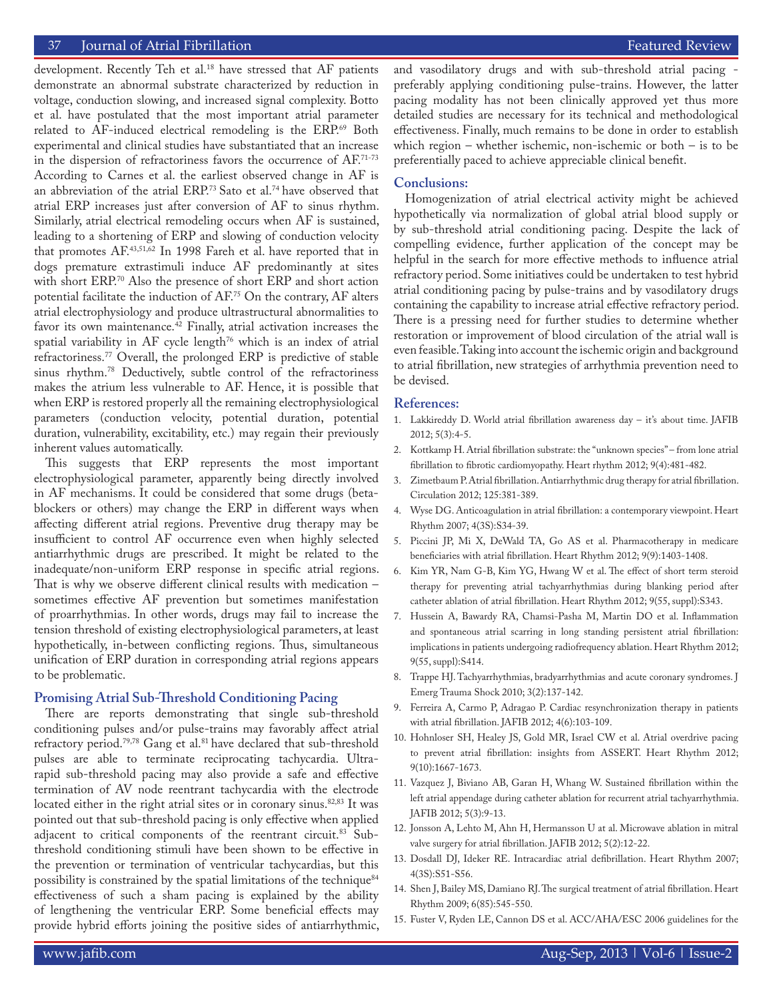## 37 Journal of Atrial Fibrillation Featured Review Featured Review

development. Recently Teh et al.<sup>18</sup> have stressed that AF patients demonstrate an abnormal substrate characterized by reduction in voltage, conduction slowing, and increased signal complexity. Botto et al. have postulated that the most important atrial parameter related to AF-induced electrical remodeling is the ERP.<sup>69</sup> Both experimental and clinical studies have substantiated that an increase in the dispersion of refractoriness favors the occurrence of AF.71-73 According to Carnes et al. the earliest observed change in AF is an abbreviation of the atrial ERP.<sup>73</sup> Sato et al.<sup>74</sup> have observed that atrial ERP increases just after conversion of AF to sinus rhythm. Similarly, atrial electrical remodeling occurs when AF is sustained, leading to a shortening of ERP and slowing of conduction velocity that promotes AF.43,51,62 In 1998 Fareh et al. have reported that in dogs premature extrastimuli induce AF predominantly at sites with short ERP.70 Also the presence of short ERP and short action potential facilitate the induction of AF.75 On the contrary, AF alters atrial electrophysiology and produce ultrastructural abnormalities to favor its own maintenance. $42$  Finally, atrial activation increases the spatial variability in AF cycle length $76$  which is an index of atrial refractoriness.<sup>77</sup> Overall, the prolonged ERP is predictive of stable sinus rhythm.78 Deductively, subtle control of the refractoriness makes the atrium less vulnerable to AF. Hence, it is possible that when ERP is restored properly all the remaining electrophysiological parameters (conduction velocity, potential duration, potential duration, vulnerability, excitability, etc.) may regain their previously inherent values automatically.

This suggests that ERP represents the most important electrophysiological parameter, apparently being directly involved in AF mechanisms. It could be considered that some drugs (betablockers or others) may change the ERP in different ways when affecting different atrial regions. Preventive drug therapy may be insufficient to control AF occurrence even when highly selected antiarrhythmic drugs are prescribed. It might be related to the inadequate/non-uniform ERP response in specific atrial regions. That is why we observe different clinical results with medication – sometimes effective AF prevention but sometimes manifestation of proarrhythmias. In other words, drugs may fail to increase the tension threshold of existing electrophysiological parameters, at least hypothetically, in-between conflicting regions. Thus, simultaneous unification of ERP duration in corresponding atrial regions appears to be problematic.

#### **Promising Atrial Sub-Threshold Conditioning Pacing**

There are reports demonstrating that single sub-threshold conditioning pulses and/or pulse-trains may favorably affect atrial refractory period.<sup>79,78</sup> Gang et al.<sup>81</sup> have declared that sub-threshold pulses are able to terminate reciprocating tachycardia. Ultrarapid sub-threshold pacing may also provide a safe and effective termination of AV node reentrant tachycardia with the electrode located either in the right atrial sites or in coronary sinus.<sup>82,83</sup> It was pointed out that sub-threshold pacing is only effective when applied adjacent to critical components of the reentrant circuit.83 Subthreshold conditioning stimuli have been shown to be effective in the prevention or termination of ventricular tachycardias, but this possibility is constrained by the spatial limitations of the technique<sup>84</sup> effectiveness of such a sham pacing is explained by the ability of lengthening the ventricular ERP. Some beneficial effects may provide hybrid efforts joining the positive sides of antiarrhythmic,

and vasodilatory drugs and with sub-threshold atrial pacing preferably applying conditioning pulse-trains. However, the latter pacing modality has not been clinically approved yet thus more detailed studies are necessary for its technical and methodological effectiveness. Finally, much remains to be done in order to establish which region – whether ischemic, non-ischemic or both – is to be preferentially paced to achieve appreciable clinical benefit.

## **Conclusions:**

Homogenization of atrial electrical activity might be achieved hypothetically via normalization of global atrial blood supply or by sub-threshold atrial conditioning pacing. Despite the lack of compelling evidence, further application of the concept may be helpful in the search for more effective methods to influence atrial refractory period. Some initiatives could be undertaken to test hybrid atrial conditioning pacing by pulse-trains and by vasodilatory drugs containing the capability to increase atrial effective refractory period. There is a pressing need for further studies to determine whether restoration or improvement of blood circulation of the atrial wall is even feasible. Taking into account the ischemic origin and background to atrial fibrillation, new strategies of arrhythmia prevention need to be devised.

#### **References:**

- 1. Lakkireddy D. World atrial fibrillation awareness day it's about time. JAFIB 2012; 5(3):4-5.
- 2. Kottkamp H. Atrial fibrillation substrate: the "unknown species" from lone atrial fibrillation to fibrotic cardiomyopathy. Heart rhythm 2012; 9(4):481-482.
- 3. Zimetbaum P. Atrial fibrillation. Antiarrhythmic drug therapy for atrial fibrillation. Circulation 2012; 125:381-389.
- 4. Wyse DG. Anticoagulation in atrial fibrillation: a contemporary viewpoint. Heart Rhythm 2007; 4(3S):S34-39.
- 5. Piccini JP, Mi X, DeWald TA, Go AS et al. Pharmacotherapy in medicare beneficiaries with atrial fibrillation. Heart Rhythm 2012; 9(9):1403-1408.
- 6. Kim YR, Nam G-B, Kim YG, Hwang W et al. The effect of short term steroid therapy for preventing atrial tachyarrhythmias during blanking period after catheter ablation of atrial fibrillation. Heart Rhythm 2012; 9(55, suppl):S343.
- 7. Hussein A, Bawardy RA, Chamsi-Pasha M, Martin DO et al. Inflammation and spontaneous atrial scarring in long standing persistent atrial fibrillation: implications in patients undergoing radiofrequency ablation. Heart Rhythm 2012; 9(55, suppl):S414.
- 8. Trappe HJ. Tachyarrhythmias, bradyarrhythmias and acute coronary syndromes. J Emerg Trauma Shock 2010; 3(2):137-142.
- 9. Ferreira A, Carmo P, Adragao P. Cardiac resynchronization therapy in patients with atrial fibrillation. JAFIB 2012; 4(6):103-109.
- 10. Hohnloser SH, Healey JS, Gold MR, Israel CW et al. Atrial overdrive pacing to prevent atrial fibrillation: insights from ASSERT. Heart Rhythm 2012; 9(10):1667-1673.
- 11. Vazquez J, Biviano AB, Garan H, Whang W. Sustained fibrillation within the left atrial appendage during catheter ablation for recurrent atrial tachyarrhythmia. JAFIB 2012; 5(3):9-13.
- 12. Jonsson A, Lehto M, Ahn H, Hermansson U at al. Microwave ablation in mitral valve surgery for atrial fibrillation. JAFIB 2012; 5(2):12-22.
- 13. Dosdall DJ, Ideker RE. Intracardiac atrial defibrillation. Heart Rhythm 2007; 4(3S):S51-S56.
- 14. Shen J, Bailey MS, Damiano RJ. The surgical treatment of atrial fibrillation. Heart Rhythm 2009; 6(85):545-550.
- 15. Fuster V, Ryden LE, Cannon DS et al. ACC/AHA/ESC 2006 guidelines for the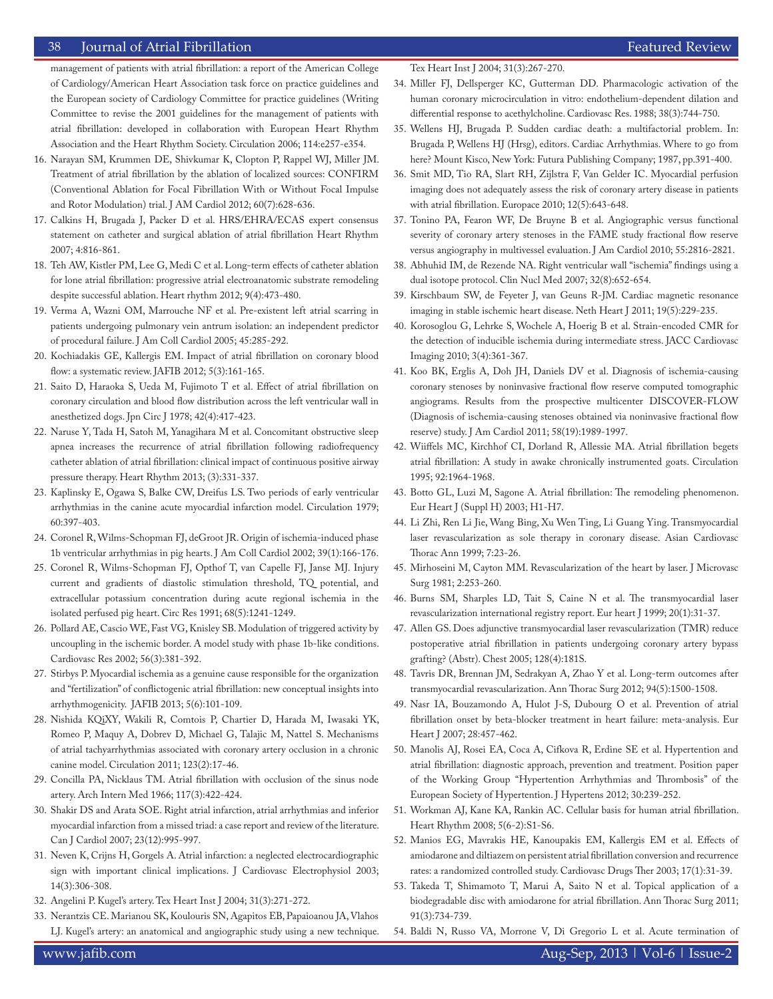## 38 Journal of Atrial Fibrillation Featured Review Featured Review Featured Review Featured Review Featured Review

management of patients with atrial fibrillation: a report of the American College of Cardiology/American Heart Association task force on practice guidelines and the European society of Cardiology Committee for practice guidelines (Writing Committee to revise the 2001 guidelines for the management of patients with atrial fibrillation: developed in collaboration with European Heart Rhythm Association and the Heart Rhythm Society. Circulation 2006; 114:e257-e354.

- 16. Narayan SM, Krummen DE, Shivkumar K, Clopton P, Rappel WJ, Miller JM. Treatment of atrial fibrillation by the ablation of localized sources: CONFIRM (Conventional Ablation for Focal Fibrillation With or Without Focal Impulse and Rotor Modulation) trial. J AM Cardiol 2012; 60(7):628-636.
- 17. Calkins H, Brugada J, Packer D et al. HRS/EHRA/ECAS expert consensus statement on catheter and surgical ablation of atrial fibrillation Heart Rhythm 2007; 4:816-861.
- 18. Teh AW, Kistler PM, Lee G, Medi C et al. Long-term effects of catheter ablation for lone atrial fibrillation: progressive atrial electroanatomic substrate remodeling despite successful ablation. Heart rhythm 2012; 9(4):473-480.
- 19. Verma A, Wazni OM, Marrouche NF et al. Pre-existent left atrial scarring in patients undergoing pulmonary vein antrum isolation: an independent predictor of procedural failure. J Am Coll Cardiol 2005; 45:285-292.
- 20. Kochiadakis GE, Kallergis EM. Impact of atrial fibrillation on coronary blood flow: a systematic review. JAFIB 2012; 5(3):161-165.
- 21. Saito D, Haraoka S, Ueda M, Fujimoto T et al. Effect of atrial fibrillation on coronary circulation and blood flow distribution across the left ventricular wall in anesthetized dogs. Jpn Circ J 1978; 42(4):417-423.
- 22. Naruse Y, Tada H, Satoh M, Yanagihara M et al. Concomitant obstructive sleep apnea increases the recurrence of atrial fibrillation following radiofrequency catheter ablation of atrial fibrillation: clinical impact of continuous positive airway pressure therapy. Heart Rhythm 2013; (3):331-337.
- 23. Kaplinsky E, Ogawa S, Balke CW, Dreifus LS. Two periods of early ventricular arrhythmias in the canine acute myocardial infarction model. Circulation 1979; 60:397-403.
- 24. Coronel R, Wilms-Schopman FJ, deGroot JR. Origin of ischemia-induced phase 1b ventricular arrhythmias in pig hearts. J Am Coll Cardiol 2002; 39(1):166-176.
- 25. Coronel R, Wilms-Schopman FJ, Opthof T, van Capelle FJ, Janse MJ. Injury current and gradients of diastolic stimulation threshold, TQ potential, and extracellular potassium concentration during acute regional ischemia in the isolated perfused pig heart. Circ Res 1991; 68(5):1241-1249.
- 26. Pollard AE, Cascio WE, Fast VG, Knisley SB. Modulation of triggered activity by uncoupling in the ischemic border. A model study with phase 1b-like conditions. Cardiovasc Res 2002; 56(3):381-392.
- 27. Stirbys P. Myocardial ischemia as a genuine cause responsible for the organization and "fertilization" of conflictogenic atrial fibrillation: new conceptual insights into arrhythmogenicity. JAFIB 2013; 5(6):101-109.
- 28. Nishida KQiXY, Wakili R, Comtois P, Chartier D, Harada M, Iwasaki YK, Romeo P, Maquy A, Dobrev D, Michael G, Talajic M, Nattel S. Mechanisms of atrial tachyarrhythmias associated with coronary artery occlusion in a chronic canine model. Circulation 2011; 123(2):17-46.
- 29. Concilla PA, Nicklaus TM. Atrial fibrillation with occlusion of the sinus node artery. Arch Intern Med 1966; 117(3):422-424.
- 30. Shakir DS and Arata SOE. Right atrial infarction, atrial arrhythmias and inferior myocardial infarction from a missed triad: a case report and review of the literature. Can J Cardiol 2007; 23(12):995-997.
- 31. Neven K, Crijns H, Gorgels A. Atrial infarction: a neglected electrocardiographic sign with important clinical implications. J Cardiovasc Electrophysiol 2003; 14(3):306-308.
- 32. Angelini P. Kugel's artery. Tex Heart Inst J 2004; 31(3):271-272.
- 33. Nerantzis CE. Marianou SK, Koulouris SN, Agapitos EB, Papaioanou JA, Vlahos LJ. Kugel's artery: an anatomical and angiographic study using a new technique.

Tex Heart Inst J 2004; 31(3):267-270.

- 34. Miller FJ, Dellsperger KC, Gutterman DD. Pharmacologic activation of the human coronary microcirculation in vitro: endothelium-dependent dilation and differential response to acethylcholine. Cardiovasc Res. 1988; 38(3):744-750.
- 35. Wellens HJ, Brugada P. Sudden cardiac death: a multifactorial problem. In: Brugada P, Wellens HJ (Hrsg), editors. Cardiac Arrhythmias. Where to go from here? Mount Kisco, New York: Futura Publishing Company; 1987, pp.391-400.
- 36. Smit MD, Tio RA, Slart RH, Zijlstra F, Van Gelder IC. Myocardial perfusion imaging does not adequately assess the risk of coronary artery disease in patients with atrial fibrillation. Europace 2010; 12(5):643-648.
- 37. Tonino PA, Fearon WF, De Bruyne B et al. Angiographic versus functional severity of coronary artery stenoses in the FAME study fractional flow reserve versus angiography in multivessel evaluation. J Am Cardiol 2010; 55:2816-2821.
- 38. Abhuhid IM, de Rezende NA. Right ventricular wall "ischemia" findings using a dual isotope protocol. Clin Nucl Med 2007; 32(8):652-654.
- 39. Kirschbaum SW, de Feyeter J, van Geuns R-JM. Cardiac magnetic resonance imaging in stable ischemic heart disease. Neth Heart J 2011; 19(5):229-235.
- 40. Korosoglou G, Lehrke S, Wochele A, Hoerig B et al. Strain-encoded CMR for the detection of inducible ischemia during intermediate stress. JACC Cardiovasc Imaging 2010; 3(4):361-367.
- 41. Koo BK, Erglis A, Doh JH, Daniels DV et al. Diagnosis of ischemia-causing coronary stenoses by noninvasive fractional flow reserve computed tomographic angiograms. Results from the prospective multicenter DISCOVER-FLOW (Diagnosis of ischemia-causing stenoses obtained via noninvasive fractional flow reserve) study. J Am Cardiol 2011; 58(19):1989-1997.
- 42. Wiiffels MC, Kirchhof CI, Dorland R, Allessie MA. Atrial fibrillation begets atrial fibrillation: A study in awake chronically instrumented goats. Circulation 1995; 92:1964-1968.
- 43. Botto GL, Luzi M, Sagone A. Atrial fibrillation: The remodeling phenomenon. Eur Heart J (Suppl H) 2003; H1-H7.
- 44. Li Zhi, Ren Li Jie, Wang Bing, Xu Wen Ting, Li Guang Ying. Transmyocardial laser revascularization as sole therapy in coronary disease. Asian Cardiovasc Thorac Ann 1999; 7:23-26.
- 45. Mirhoseini M, Cayton MM. Revascularization of the heart by laser. J Microvasc Surg 1981; 2:253-260.
- 46. Burns SM, Sharples LD, Tait S, Caine N et al. The transmyocardial laser revascularization international registry report. Eur heart J 1999; 20(1):31-37.
- 47. Allen GS. Does adjunctive transmyocardial laser revascularization (TMR) reduce postoperative atrial fibrillation in patients undergoing coronary artery bypass grafting? (Abstr). Chest 2005; 128(4):181S.
- 48. Tavris DR, Brennan JM, Sedrakyan A, Zhao Y et al. Long-term outcomes after transmyocardial revascularization. Ann Thorac Surg 2012; 94(5):1500-1508.
- 49. Nasr IA, Bouzamondo A, Hulot J-S, Dubourg O et al. Prevention of atrial fibrillation onset by beta-blocker treatment in heart failure: meta-analysis. Eur Heart J 2007; 28:457-462.
- 50. Manolis AJ, Rosei EA, Coca A, Cifkova R, Erdine SE et al. Hypertention and atrial fibrillation: diagnostic approach, prevention and treatment. Position paper of the Working Group "Hypertention Arrhythmias and Thrombosis" of the European Society of Hypertention. J Hypertens 2012; 30:239-252.
- 51. Workman AJ, Kane KA, Rankin AC. Cellular basis for human atrial fibrillation. Heart Rhythm 2008; 5(6-2):S1-S6.
- 52. Manios EG, Mavrakis HE, Kanoupakis EM, Kallergis EM et al. Effects of amiodarone and diltiazem on persistent atrial fibrillation conversion and recurrence rates: a randomized controlled study. Cardiovasc Drugs Ther 2003; 17(1):31-39.
- 53. Takeda T, Shimamoto T, Marui A, Saito N et al. Topical application of a biodegradable disc with amiodarone for atrial fibrillation. Ann Thorac Surg 2011; 91(3):734-739.
- 54. Baldi N, Russo VA, Morrone V, Di Gregorio L et al. Acute termination of